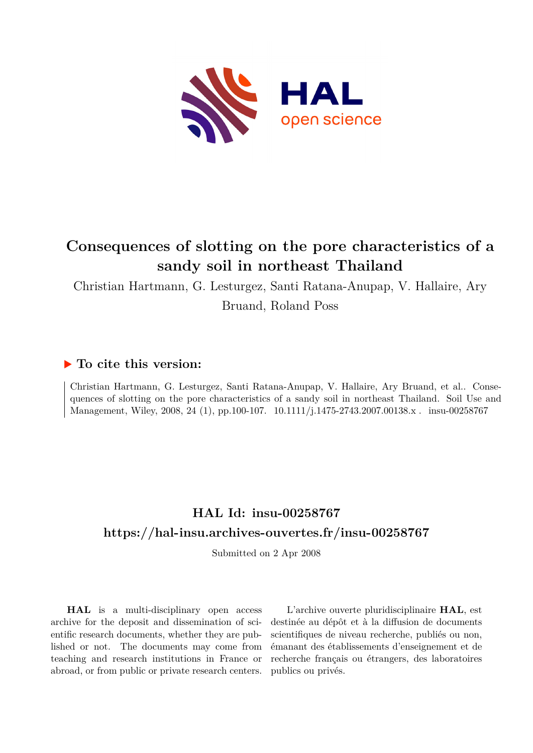

# **Consequences of slotting on the pore characteristics of a sandy soil in northeast Thailand**

Christian Hartmann, G. Lesturgez, Santi Ratana-Anupap, V. Hallaire, Ary

Bruand, Roland Poss

# **To cite this version:**

Christian Hartmann, G. Lesturgez, Santi Ratana-Anupap, V. Hallaire, Ary Bruand, et al.. Consequences of slotting on the pore characteristics of a sandy soil in northeast Thailand. Soil Use and Management, Wiley, 2008, 24 (1), pp.100-107. 10.1111/j.1475-2743.2007.00138.x . insu-00258767

# **HAL Id: insu-00258767 <https://hal-insu.archives-ouvertes.fr/insu-00258767>**

Submitted on 2 Apr 2008

**HAL** is a multi-disciplinary open access archive for the deposit and dissemination of scientific research documents, whether they are published or not. The documents may come from teaching and research institutions in France or abroad, or from public or private research centers.

L'archive ouverte pluridisciplinaire **HAL**, est destinée au dépôt et à la diffusion de documents scientifiques de niveau recherche, publiés ou non, émanant des établissements d'enseignement et de recherche français ou étrangers, des laboratoires publics ou privés.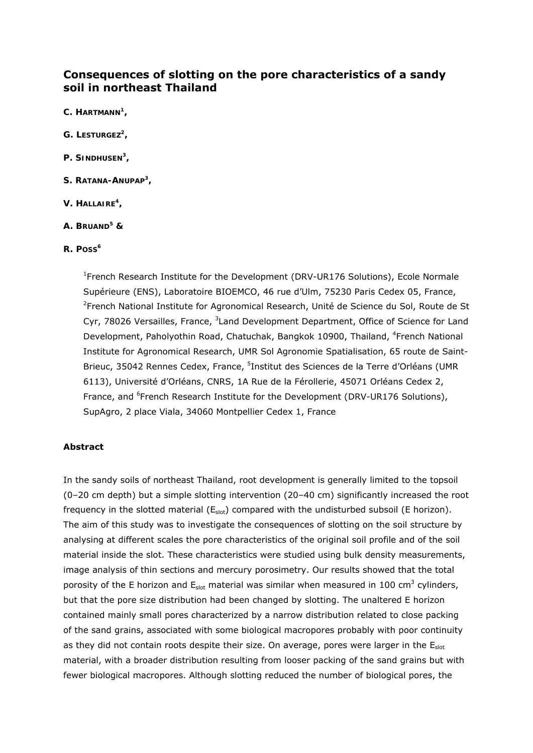# **Consequences of slotting on the pore characteristics of a sandy soil in northeast Thailand**

- *C. HARTMANN1 ,*
- *G. LESTURGEZ2 ,*
- *P. SINDHUSEN3 ,*
- *S. RATANA-ANUPAP3 ,*
- *V. HALLAIRE4 ,*
- *A. BRUAND5 &*
- *R. POSS6*

<sup>1</sup> French Research Institute for the Development (DRV-UR176 Solutions), Ecole Normale Supérieure (ENS), Laboratoire BIOEMCO, 46 rue d'Ulm, 75230 Paris Cedex 05, France, <sup>2</sup>French National Institute for Agronomical Research, Unité de Science du Sol, Route de St Cyr, 78026 Versailles, France, <sup>3</sup>Land Development Department, Office of Science for Land Development, Paholyothin Road, Chatuchak, Bangkok 10900, Thailand, <sup>4</sup>French National Institute for Agronomical Research, UMR Sol Agronomie Spatialisation, 65 route de Saint-Brieuc, 35042 Rennes Cedex, France, <sup>5</sup>Institut des Sciences de la Terre d'Orléans (UMR 6113), Université d'Orléans, CNRS, 1A Rue de la Férollerie, 45071 Orléans Cedex 2, France, and <sup>6</sup>French Research Institute for the Development (DRV-UR176 Solutions), SupAgro, 2 place Viala, 34060 Montpellier Cedex 1, France

## **Abstract**

In the sandy soils of northeast Thailand, root development is generally limited to the topsoil (0–20 cm depth) but a simple slotting intervention (20–40 cm) significantly increased the root frequency in the slotted material  $(E_{slot})$  compared with the undisturbed subsoil (E horizon). The aim of this study was to investigate the consequences of slotting on the soil structure by analysing at different scales the pore characteristics of the original soil profile and of the soil material inside the slot. These characteristics were studied using bulk density measurements, image analysis of thin sections and mercury porosimetry. Our results showed that the total porosity of the E horizon and  $E_{slot}$  material was similar when measured in 100 cm<sup>3</sup> cylinders, but that the pore size distribution had been changed by slotting. The unaltered E horizon contained mainly small pores characterized by a narrow distribution related to close packing of the sand grains, associated with some biological macropores probably with poor continuity as they did not contain roots despite their size. On average, pores were larger in the  $E<sub>slot</sub>$ material, with a broader distribution resulting from looser packing of the sand grains but with fewer biological macropores. Although slotting reduced the number of biological pores, the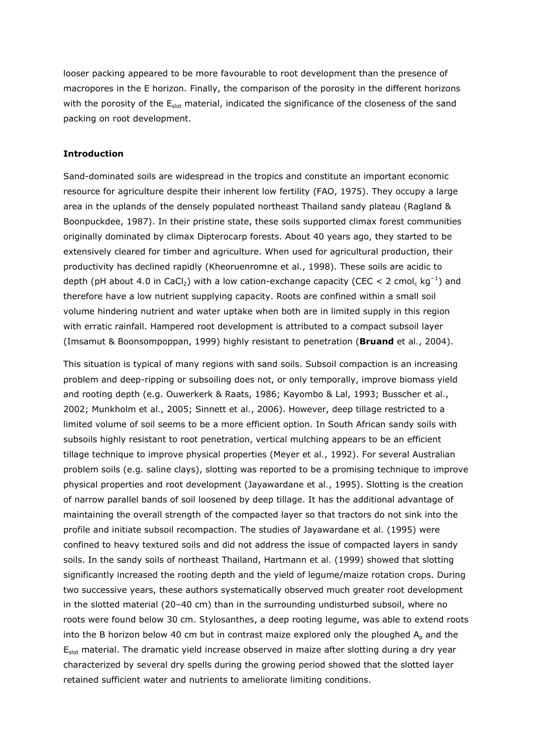looser packing appeared to be more favourable to root development than the presence of macropores in the E horizon. Finally, the comparison of the porosity in the different horizons with the porosity of the  $E<sub>slot</sub>$  material, indicated the significance of the closeness of the sand packing on root development.

### **Introduction**

Sand-dominated soils are widespread in the tropics and constitute an important economic resource for agriculture despite their inherent low fertility (FAO, 1975). They occupy a large area in the uplands of the densely populated northeast Thailand sandy plateau (Ragland & Boonpuckdee, 1987). In their pristine state, these soils supported climax forest communities originally dominated by climax *Dipterocarp* forests. About 40 years ago, they started to be extensively cleared for timber and agriculture. When used for agricultural production, their productivity has declined rapidly (Kheoruenromne *et al.*, 1998). These soils are acidic to depth (pH about 4.0 in CaCl<sub>2</sub>) with a low cation-exchange capacity (CEC < 2 cmol<sub>c</sub> kg<sup>-1</sup>) and therefore have a low nutrient supplying capacity. Roots are confined within a small soil volume hindering nutrient and water uptake when both are in limited supply in this region with erratic rainfall. Hampered root development is attributed to a compact subsoil layer (Imsamut & Boonsompoppan, 1999) highly resistant to penetration (**Bruand** *et al.*, 2004).

This situation is typical of many regions with sand soils. Subsoil compaction is an increasing problem and deep-ripping or subsoiling does not, or only temporally, improve biomass yield and rooting depth (e.g. Ouwerkerk & Raats, 1986; Kayombo & Lal, 1993; Busscher *et al.*, 2002; Munkholm *et al.*, 2005; Sinnett *et al.*, 2006). However, deep tillage restricted to a limited volume of soil seems to be a more efficient option. In South African sandy soils with subsoils highly resistant to root penetration, vertical mulching appears to be an efficient tillage technique to improve physical properties (Meyer *et al.*, 1992). For several Australian problem soils (e.g. saline clays), slotting was reported to be a promising technique to improve physical properties and root development (Jayawardane *et al.*, 1995). Slotting is the creation of narrow parallel bands of soil loosened by deep tillage. It has the additional advantage of maintaining the overall strength of the compacted layer so that tractors do not sink into the profile and initiate subsoil recompaction. The studies of Jayawardane *et al.* (1995) were confined to heavy textured soils and did not address the issue of compacted layers in sandy soils. In the sandy soils of northeast Thailand, Hartmann *et al.* (1999) showed that slotting significantly increased the rooting depth and the yield of legume/maize rotation crops. During two successive years, these authors systematically observed much greater root development in the slotted material (20–40 cm) than in the surrounding undisturbed subsoil, where no roots were found below 30 cm. *Stylosanthes*, a deep rooting legume, was able to extend roots into the B horizon below 40 cm but in contrast maize explored only the ploughed  $A<sub>p</sub>$  and the E<sub>slot</sub> material. The dramatic yield increase observed in maize after slotting during a dry year characterized by several dry spells during the growing period showed that the slotted layer retained sufficient water and nutrients to ameliorate limiting conditions.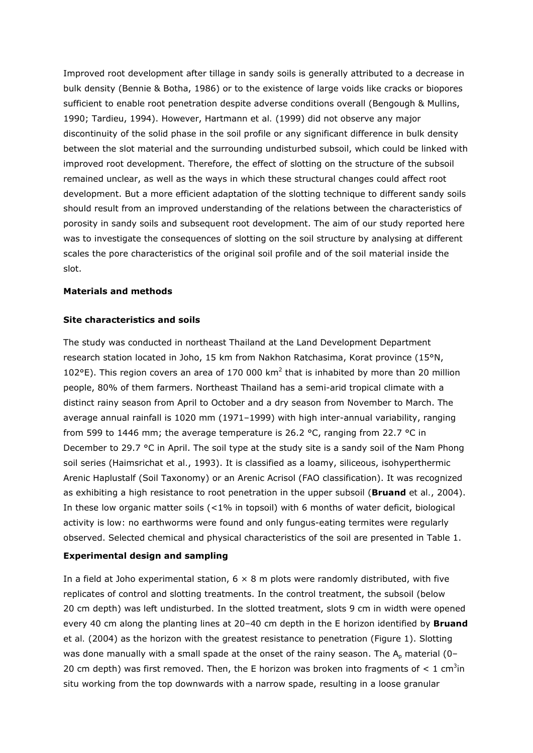Improved root development after tillage in sandy soils is generally attributed to a decrease in bulk density (Bennie & Botha, 1986) or to the existence of large voids like cracks or biopores sufficient to enable root penetration despite adverse conditions overall (Bengough & Mullins, 1990; Tardieu, 1994). However, Hartmann *et al.* (1999) did not observe any major discontinuity of the solid phase in the soil profile or any significant difference in bulk density between the slot material and the surrounding undisturbed subsoil, which could be linked with improved root development. Therefore, the effect of slotting on the structure of the subsoil remained unclear, as well as the ways in which these structural changes could affect root development. But a more efficient adaptation of the slotting technique to different sandy soils should result from an improved understanding of the relations between the characteristics of porosity in sandy soils and subsequent root development. The aim of our study reported here was to investigate the consequences of slotting on the soil structure by analysing at different scales the pore characteristics of the original soil profile and of the soil material inside the slot.

#### **Materials and methods**

### **Site characteristics and soils**

The study was conducted in northeast Thailand at the Land Development Department research station located in Joho, 15 km from Nakhon Ratchasima, Korat province (15°N, 102°E). This region covers an area of 170 000  $km^2$  that is inhabited by more than 20 million people, 80% of them farmers. Northeast Thailand has a semi-arid tropical climate with a distinct rainy season from April to October and a dry season from November to March. The average annual rainfall is 1020 mm (1971–1999) with high inter-annual variability, ranging from 599 to 1446 mm; the average temperature is 26.2 °C, ranging from 22.7 °C in December to 29.7 °C in April. The soil type at the study site is a sandy soil of the *Nam Phong* soil series (Haimsrichat *et al.*, 1993). It is classified as a loamy, siliceous, isohyperthermic Arenic Haplustalf (Soil Taxonomy) or an Arenic Acrisol (FAO classification). It was recognized as exhibiting a high resistance to root penetration in the upper subsoil (**Bruand** *et al.*, 2004). In these low organic matter soils (<1% in topsoil) with 6 months of water deficit, biological activity is low: no earthworms were found and only fungus-eating termites were regularly observed. Selected chemical and physical characteristics of the soil are presented in Table 1.

## **Experimental design and sampling**

In a field at Joho experimental station,  $6 \times 8$  m plots were randomly distributed, with five replicates of control and slotting treatments. In the control treatment, the subsoil (below 20 cm depth) was left undisturbed. In the slotted treatment, slots 9 cm in width were opened every 40 cm along the planting lines at 20–40 cm depth in the E horizon identified by **Bruand** *et al.* (2004) as the horizon with the greatest resistance to penetration (Figure 1). Slotting was done manually with a small spade at the onset of the rainy season. The  $A_p$  material (0– 20 cm depth) was first removed. Then, the E horizon was broken into fragments of  $\lt 1$  cm<sup>3</sup>in *situ* working from the top downwards with a narrow spade, resulting in a loose granular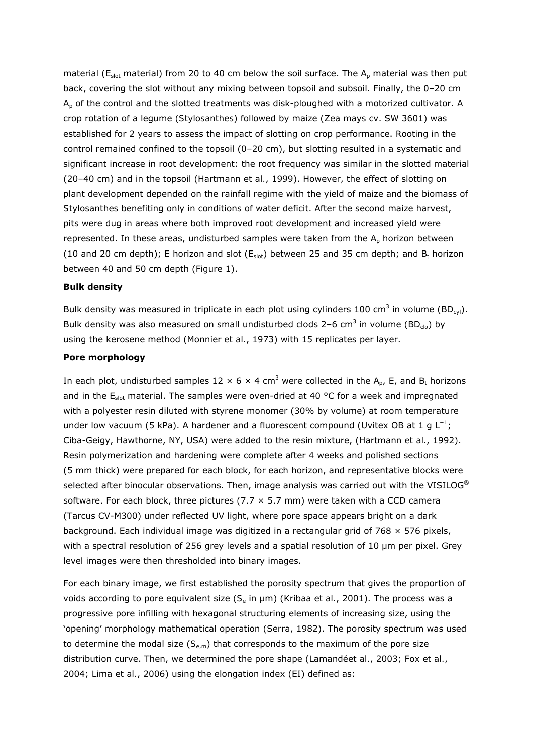material ( $E_{slot}$  material) from 20 to 40 cm below the soil surface. The  $A_p$  material was then put back, covering the slot without any mixing between topsoil and subsoil. Finally, the 0–20 cm  $A<sub>p</sub>$  of the control and the slotted treatments was disk-ploughed with a motorized cultivator. A crop rotation of a legume (*Stylosanthes*) followed by maize (*Zea mays* cv. SW 3601) was established for 2 years to assess the impact of slotting on crop performance. Rooting in the control remained confined to the topsoil (0–20 cm), but slotting resulted in a systematic and significant increase in root development: the root frequency was similar in the slotted material (20–40 cm) and in the topsoil (Hartmann *et al.*, 1999). However, the effect of slotting on plant development depended on the rainfall regime with the yield of maize and the biomass of *Stylosanthes* benefiting only in conditions of water deficit. After the second maize harvest, pits were dug in areas where both improved root development and increased yield were represented. In these areas, undisturbed samples were taken from the  $A_p$  horizon between (10 and 20 cm depth); E horizon and slot ( $E_{slot}$ ) between 25 and 35 cm depth; and  $B_t$  horizon between 40 and 50 cm depth (Figure 1).

#### **Bulk density**

Bulk density was measured in triplicate in each plot using cylinders 100 cm<sup>3</sup> in volume (BD<sub>cyl</sub>). Bulk density was also measured on small undisturbed clods 2-6 cm<sup>3</sup> in volume (BD<sub>clo</sub>) by using the kerosene method (Monnier *et al.*, 1973) with 15 replicates per layer.

#### **Pore morphology**

In each plot, undisturbed samples 12  $\times$  6  $\times$  4 cm<sup>3</sup> were collected in the A<sub>p</sub>, E, and B<sub>t</sub> horizons and in the  $E_{slot}$  material. The samples were oven-dried at 40 °C for a week and impregnated with a polyester resin diluted with styrene monomer (30% by volume) at room temperature under low vacuum (5 kPa). A hardener and a fluorescent compound (Uvitex OB at 1 g  $L^{-1}$ ; Ciba-Geigy, Hawthorne, NY, USA) were added to the resin mixture, (Hartmann *et al.*, 1992). Resin polymerization and hardening were complete after 4 weeks and polished sections (5 mm thick) were prepared for each block, for each horizon, and representative blocks were selected after binocular observations. Then, image analysis was carried out with the VISILOG<sup>®</sup> software. For each block, three pictures (7.7  $\times$  5.7 mm) were taken with a CCD camera (Tarcus CV-M300) under reflected UV light, where pore space appears bright on a dark background. Each individual image was digitized in a rectangular grid of 768  $\times$  576 pixels, with a spectral resolution of 256 grey levels and a spatial resolution of 10 μm per pixel. Grey level images were then thresholded into binary images.

For each binary image, we first established the porosity spectrum that gives the proportion of voids according to pore equivalent size (*S*e in μm) (Kribaa *et al.*, 2001). The process was a progressive pore infilling with hexagonal structuring elements of increasing size, using the 'opening' morphology mathematical operation (Serra, 1982). The porosity spectrum was used to determine the modal size  $(S_{e,m})$  that corresponds to the maximum of the pore size distribution curve. Then, we determined the pore shape (Lamandé*et al.*, 2003; Fox *et al.*, 2004; Lima *et al.*, 2006) using the elongation index (EI) defined as: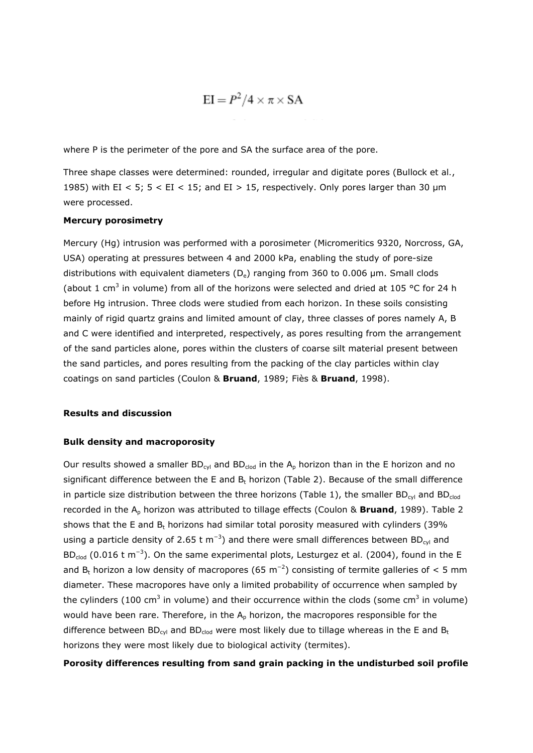$$
EI = P^2/4 \times \pi \times SA
$$

where *P* is the perimeter of the pore and SA the surface area of the pore.

Three shape classes were determined: rounded, irregular and digitate pores (Bullock *et al.*, 1985) with EI < 5;  $5 < E$ I < 15; and EI > 15, respectively. Only pores larger than 30  $\mu$ m were processed.

### **Mercury porosimetry**

Mercury (Hg) intrusion was performed with a porosimeter (Micromeritics 9320, Norcross, GA, USA) operating at pressures between 4 and 2000 kPa, enabling the study of pore-size distributions with equivalent diameters (*D*e) ranging from 360 to 0.006 μm. Small clods (about 1 cm<sup>3</sup> in volume) from all of the horizons were selected and dried at 105 °C for 24 h before Hg intrusion. Three clods were studied from each horizon. In these soils consisting mainly of rigid quartz grains and limited amount of clay, three classes of pores namely A, B and C were identified and interpreted, respectively, as pores resulting from the arrangement of the sand particles alone, pores within the clusters of coarse silt material present between the sand particles, and pores resulting from the packing of the clay particles within clay coatings on sand particles (Coulon & **Bruand**, 1989; Fiès & **Bruand**, 1998).

#### **Results and discussion**

#### **Bulk density and macroporosity**

Our results showed a smaller  $BD_{cyl}$  and  $BD_{clod}$  in the  $A_p$  horizon than in the E horizon and no significant difference between the E and  $B_t$  horizon (Table 2). Because of the small difference in particle size distribution between the three horizons (Table 1), the smaller BD<sub>cvl</sub> and BD<sub>clod</sub> recorded in the A<sub>p</sub> horizon was attributed to tillage effects (Coulon & Bruand, 1989). Table 2 shows that the E and  $B_t$  horizons had similar total porosity measured with cylinders (39%) using a particle density of 2.65 t m<sup>-3</sup>) and there were small differences between BD<sub>cyl</sub> and BD<sub>clod</sub> (0.016 t m<sup>-3</sup>). On the same experimental plots, Lesturgez *et al.* (2004), found in the E and B<sub>t</sub> horizon a low density of macropores (65 m<sup>-2</sup>) consisting of termite galleries of < 5 mm diameter. These macropores have only a limited probability of occurrence when sampled by the cylinders (100 cm<sup>3</sup> in volume) and their occurrence within the clods (some cm<sup>3</sup> in volume) would have been rare. Therefore, in the  $A_p$  horizon, the macropores responsible for the difference between  $BD_{cyl}$  and  $BD_{clod}$  were most likely due to tillage whereas in the E and  $B_t$ horizons they were most likely due to biological activity (termites).

#### **Porosity differences resulting from sand grain packing in the undisturbed soil profile**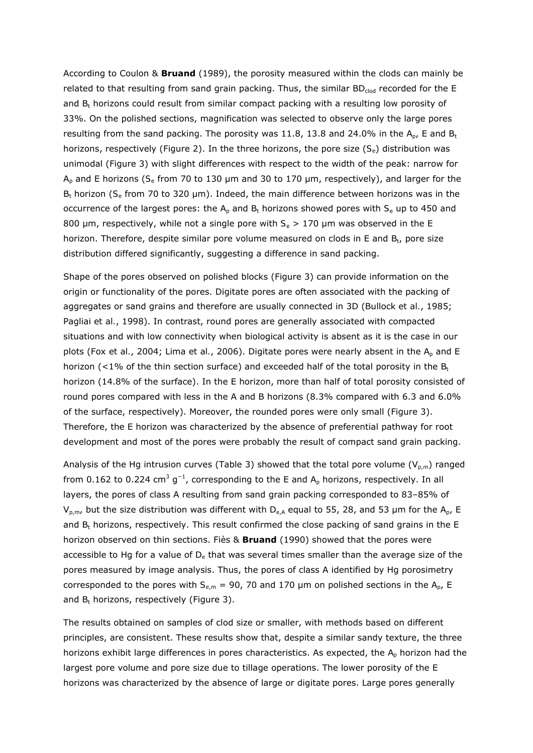According to Coulon & **Bruand** (1989), the porosity measured within the clods can mainly be related to that resulting from sand grain packing. Thus, the similar  $BD_{c|od}$  recorded for the E and  $B_t$  horizons could result from similar compact packing with a resulting low porosity of 33%. On the polished sections, magnification was selected to observe only the large pores resulting from the sand packing. The porosity was 11.8, 13.8 and 24.0% in the  $A_{p}$ , E and  $B_{t}$ horizons, respectively (Figure 2). In the three horizons, the pore size (*Se*) distribution was unimodal (Figure 3) with slight differences with respect to the width of the peak: narrow for Ap and E horizons (*S*e from 70 to 130 μm and 30 to 170 μm, respectively), and larger for the Bt horizon (*S*e from 70 to 320 μm). Indeed, the main difference between horizons was in the occurrence of the largest pores: the  $A_p$  and  $B_t$  horizons showed pores with  $S_e$  up to 450 and 800 μm, respectively, while not a single pore with *S*e > 170 μm was observed in the E horizon. Therefore, despite similar pore volume measured on clods in E and  $B_t$ , pore size distribution differed significantly, suggesting a difference in sand packing.

Shape of the pores observed on polished blocks (Figure 3) can provide information on the origin or functionality of the pores. Digitate pores are often associated with the packing of aggregates or sand grains and therefore are usually connected in 3D (Bullock *et al.*, 1985; Pagliai *et al.*, 1998). In contrast, round pores are generally associated with compacted situations and with low connectivity when biological activity is absent as it is the case in our plots (Fox *et al.*, 2004; Lima *et al.*, 2006). Digitate pores were nearly absent in the A<sub>p</sub> and E horizon (<1% of the thin section surface) and exceeded half of the total porosity in the  $B_t$ horizon (14.8% of the surface). In the E horizon, more than half of total porosity consisted of round pores compared with less in the A and B horizons (8.3% compared with 6.3 and 6.0% of the surface, respectively). Moreover, the rounded pores were only small (Figure 3). Therefore, the E horizon was characterized by the absence of preferential pathway for root development and most of the pores were probably the result of compact sand grain packing.

Analysis of the Hg intrusion curves (Table 3) showed that the total pore volume ( $V_{p,m}$ ) ranged from 0.162 to 0.224 cm<sup>3</sup> g<sup>-1</sup>, corresponding to the E and A<sub>p</sub> horizons, respectively. In all layers, the pores of class A resulting from sand grain packing corresponded to 83–85% of  $V_{p,m}$ , but the size distribution was different with  $D_{e,A}$  equal to 55, 28, and 53 µm for the A<sub>p</sub>, E and  $B_t$  horizons, respectively. This result confirmed the close packing of sand grains in the E horizon observed on thin sections. Fiès & **Bruand** (1990) showed that the pores were accessible to Hg for a value of  $D_e$  that was several times smaller than the average size of the pores measured by image analysis. Thus, the pores of class A identified by Hg porosimetry corresponded to the pores with  $S_{e,m}$  = 90, 70 and 170 µm on polished sections in the A<sub>p</sub>, E and  $B_t$  horizons, respectively (Figure 3).

The results obtained on samples of clod size or smaller, with methods based on different principles, are consistent. These results show that, despite a similar sandy texture, the three horizons exhibit large differences in pores characteristics. As expected, the  $A<sub>p</sub>$  horizon had the largest pore volume and pore size due to tillage operations. The lower porosity of the E horizons was characterized by the absence of large or digitate pores. Large pores generally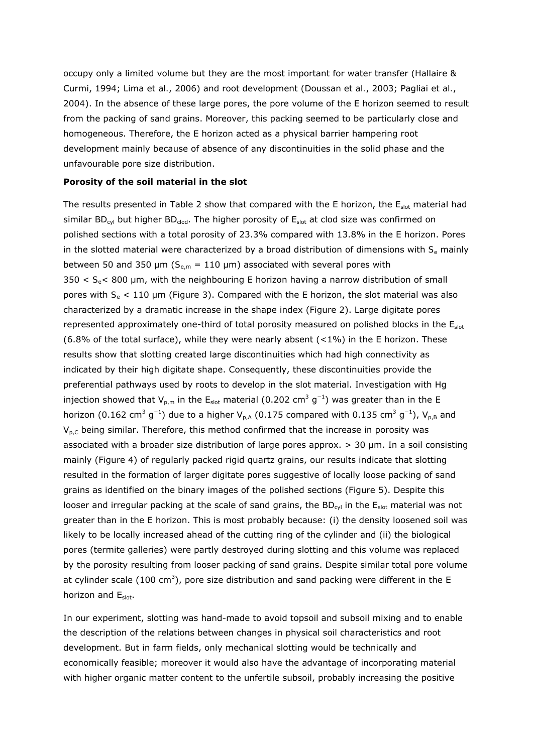occupy only a limited volume but they are the most important for water transfer (Hallaire & Curmi, 1994; Lima *et al.*, 2006) and root development (Doussan *et al.*, 2003; Pagliai *et al.*, 2004). In the absence of these large pores, the pore volume of the E horizon seemed to result from the packing of sand grains. Moreover, this packing seemed to be particularly close and homogeneous. Therefore, the E horizon acted as a physical barrier hampering root development mainly because of absence of any discontinuities in the solid phase and the unfavourable pore size distribution.

#### **Porosity of the soil material in the slot**

The results presented in Table 2 show that compared with the E horizon, the  $E_{slot}$  material had similar BD<sub>cyl</sub> but higher BD<sub>clod</sub>. The higher porosity of  $E_{slot}$  at clod size was confirmed on polished sections with a total porosity of 23.3% compared with 13.8% in the E horizon. Pores in the slotted material were characterized by a broad distribution of dimensions with  $S<sub>e</sub>$  mainly between 50 and 350  $\mu$ m ( $S_{e,m}$  = 110  $\mu$ m) associated with several pores with 350 < *S*e< 800 μm, with the neighbouring E horizon having a narrow distribution of small pores with *S*e < 110 μm (Figure 3). Compared with the E horizon, the slot material was also characterized by a dramatic increase in the shape index (Figure 2). Large digitate pores represented approximately one-third of total porosity measured on polished blocks in the  $E_{slot}$ (6.8% of the total surface), while they were nearly absent  $($  < 1%) in the E horizon. These results show that slotting created large discontinuities which had high connectivity as indicated by their high digitate shape. Consequently, these discontinuities provide the preferential pathways used by roots to develop in the slot material. Investigation with Hg injection showed that  $V_{p,m}$  in the E<sub>slot</sub> material (0.202 cm<sup>3</sup> g<sup>-1</sup>) was greater than in the E horizon (0.162 cm<sup>3</sup> g<sup>-1</sup>) due to a higher  $V_{p, A}$  (0.175 compared with 0.135 cm<sup>3</sup> g<sup>-1</sup>),  $V_{p, B}$  and  $V_{\text{p},\text{C}}$  being similar. Therefore, this method confirmed that the increase in porosity was associated with a broader size distribution of large pores approx. > 30 μm. In a soil consisting mainly (Figure 4) of regularly packed rigid quartz grains, our results indicate that slotting resulted in the formation of larger digitate pores suggestive of locally loose packing of sand grains as identified on the binary images of the polished sections (Figure 5). Despite this looser and irregular packing at the scale of sand grains, the BD<sub>cvl</sub> in the  $E_{slot}$  material was not greater than in the E horizon. This is most probably because: (i) the density loosened soil was likely to be locally increased ahead of the cutting ring of the cylinder and (ii) the biological pores (termite galleries) were partly destroyed during slotting and this volume was replaced by the porosity resulting from looser packing of sand grains. Despite similar total pore volume at cylinder scale (100 cm<sup>3</sup>), pore size distribution and sand packing were different in the E horizon and Eslot.

In our experiment, slotting was hand-made to avoid topsoil and subsoil mixing and to enable the description of the relations between changes in physical soil characteristics and root development. But in farm fields, only mechanical slotting would be technically and economically feasible; moreover it would also have the advantage of incorporating material with higher organic matter content to the unfertile subsoil, probably increasing the positive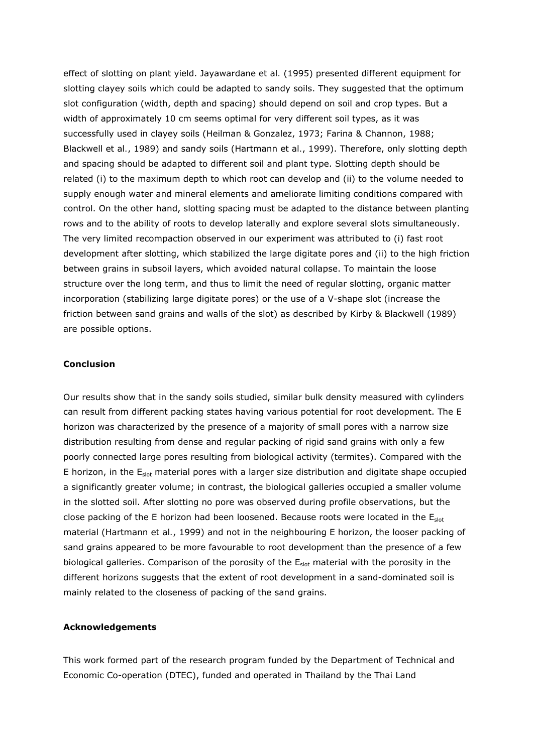effect of slotting on plant yield. Jayawardane *et al.* (1995) presented different equipment for slotting clayey soils which could be adapted to sandy soils. They suggested that the optimum slot configuration (width, depth and spacing) should depend on soil and crop types. But a width of approximately 10 cm seems optimal for very different soil types, as it was successfully used in clayey soils (Heilman & Gonzalez, 1973; Farina & Channon, 1988; Blackwell *et al.*, 1989) and sandy soils (Hartmann *et al.*, 1999). Therefore, only slotting depth and spacing should be adapted to different soil and plant type. Slotting depth should be related (i) to the maximum depth to which root can develop and (ii) to the volume needed to supply enough water and mineral elements and ameliorate limiting conditions compared with control. On the other hand, slotting spacing must be adapted to the distance between planting rows and to the ability of roots to develop laterally and explore several slots simultaneously. The very limited recompaction observed in our experiment was attributed to (i) fast root development after slotting, which stabilized the large digitate pores and (ii) to the high friction between grains in subsoil layers, which avoided natural collapse. To maintain the loose structure over the long term, and thus to limit the need of regular slotting, organic matter incorporation (stabilizing large digitate pores) or the use of a V-shape slot (increase the friction between sand grains and walls of the slot) as described by Kirby & Blackwell (1989) are possible options.

#### **Conclusion**

Our results show that in the sandy soils studied, similar bulk density measured with cylinders can result from different packing states having various potential for root development. The E horizon was characterized by the presence of a majority of small pores with a narrow size distribution resulting from dense and regular packing of rigid sand grains with only a few poorly connected large pores resulting from biological activity (termites). Compared with the E horizon, in the  $E_{slot}$  material pores with a larger size distribution and digitate shape occupied a significantly greater volume; in contrast, the biological galleries occupied a smaller volume in the slotted soil. After slotting no pore was observed during profile observations, but the close packing of the E horizon had been loosened. Because roots were located in the  $E<sub>slot</sub>$ material (Hartmann *et al.*, 1999) and not in the neighbouring E horizon, the looser packing of sand grains appeared to be more favourable to root development than the presence of a few biological galleries. Comparison of the porosity of the  $E_{slot}$  material with the porosity in the different horizons suggests that the extent of root development in a sand-dominated soil is mainly related to the closeness of packing of the sand grains.

#### **Acknowledgements**

This work formed part of the research program funded by the Department of Technical and Economic Co-operation (DTEC), funded and operated in Thailand by the Thai Land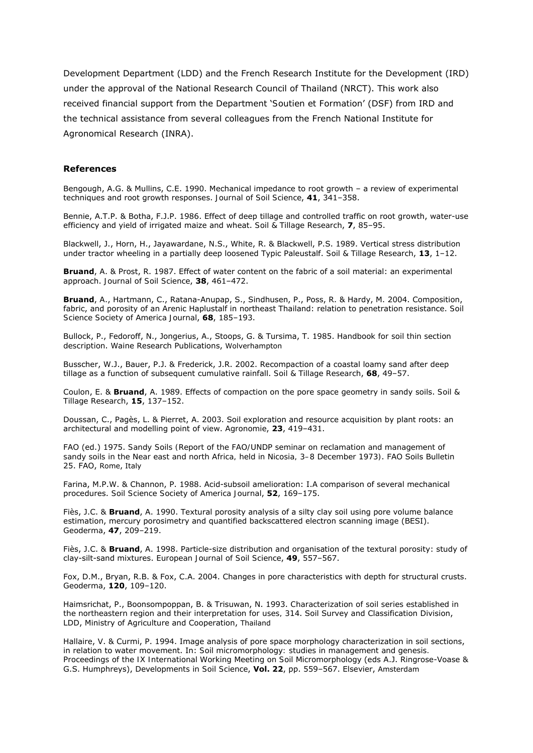Development Department (LDD) and the French Research Institute for the Development (IRD) under the approval of the National Research Council of Thailand (NRCT). This work also received financial support from the Department '*Soutien et Formation*' (DSF) from IRD and the technical assistance from several colleagues from the French National Institute for Agronomical Research (INRA).

#### **References**

Bengough, A.G. & Mullins, C.E. 1990. Mechanical impedance to root growth – a review of experimental techniques and root growth responses. *Journal of Soil Science*, **41**, 341–358.

Bennie, A.T.P. & Botha, F.J.P. 1986. Effect of deep tillage and controlled traffic on root growth, water-use efficiency and yield of irrigated maize and wheat. *Soil & Tillage Research*, **7**, 85–95.

Blackwell, J., Horn, H., Jayawardane, N.S., White, R. & Blackwell, P.S. 1989. Vertical stress distribution under tractor wheeling in a partially deep loosened Typic Paleustalf. *Soil & Tillage Research*, **13**, 1–12.

**Bruand**, A. & Prost, R. 1987. Effect of water content on the fabric of a soil material: an experimental approach. *Journal of Soil Science*, **38**, 461–472.

**Bruand**, A., Hartmann, C., Ratana-Anupap, S., Sindhusen, P., Poss, R. & Hardy, M. 2004. Composition, fabric, and porosity of an Arenic Haplustalf in northeast Thailand: relation to penetration resistance. *Soil Science Society of America Journal*, **68**, 185–193.

Bullock, P., Fedoroff, N., Jongerius, A., Stoops, G. & Tursima, T. 1985. *Handbook for soil thin section description*. Waine Research Publications, Wolverhampton

Busscher, W.J., Bauer, P.J. & Frederick, J.R. 2002. Recompaction of a coastal loamy sand after deep tillage as a function of subsequent cumulative rainfall. *Soil & Tillage Research*, **68**, 49–57.

Coulon, E. & **Bruand**, A. 1989. Effects of compaction on the pore space geometry in sandy soils. *Soil & Tillage Research*, **15**, 137–152.

Doussan, C., Pagès, L. & Pierret, A. 2003. Soil exploration and resource acquisition by plant roots: an architectural and modelling point of view. *Agronomie*, **23**, 419–431.

FAO (ed.) 1975. *Sandy Soils (Report of the FAO/UNDP seminar on reclamation and management of sandy soils in the Near east and north Africa, held in Nicosia, 3–8 December 1973)*. FAO Soils Bulletin 25. FAO, Rome, Italy

Farina, M.P.W. & Channon, P. 1988. Acid-subsoil amelioration: I.A comparison of several mechanical procedures. *Soil Science Society of America Journal*, **52**, 169–175.

Fiès, J.C. & **Bruand**, A. 1990. Textural porosity analysis of a silty clay soil using pore volume balance estimation, mercury porosimetry and quantified backscattered electron scanning image (BESI). *Geoderma*, **47**, 209–219.

Fiès, J.C. & **Bruand**, A. 1998. Particle-size distribution and organisation of the textural porosity: study of clay-silt-sand mixtures. *European Journal of Soil Science*, **49**, 557–567.

Fox, D.M., Bryan, R.B. & Fox, C.A. 2004. Changes in pore characteristics with depth for structural crusts. *Geoderma*, **120**, 109–120.

Haimsrichat, P., Boonsompoppan, B. & Trisuwan, N. 1993. *Characterization of soil series established in the northeastern region and their interpretation for uses, 314*. Soil Survey and Classification Division, LDD, Ministry of Agriculture and Cooperation, Thailand

Hallaire, V. & Curmi, P. 1994. Image analysis of pore space morphology characterization in soil sections, in relation to water movement. In: *Soil micromorphology: studies in management and genesis. Proceedings of the IX International Working Meeting on Soil Micromorphology* (eds A.J. Ringrose-Voase & G.S. Humphreys), *Developments in Soil Science*, **Vol. 22**, pp. 559–567. Elsevier, Amsterdam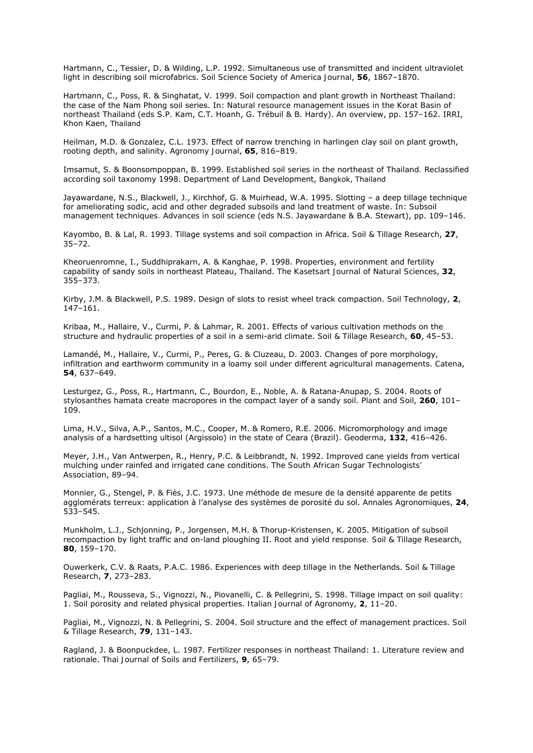Hartmann, C., Tessier, D. & Wilding, L.P. 1992. Simultaneous use of transmitted and incident ultraviolet light in describing soil microfabrics. *Soil Science Society of America Journal*, **56**, 1867–1870.

Hartmann, C., Poss, R. & Singhatat, V. 1999. Soil compaction and plant growth in Northeast Thailand: the case of the Nam Phong soil series. In: *Natural resource management issues in the Korat Basin of northeast Thailand* (eds S.P. Kam, C.T. Hoanh, G. Trébuil & B. Hardy). *An overview*, pp. 157–162. IRRI, Khon Kaen, Thailand

Heilman, M.D. & Gonzalez, C.L. 1973. Effect of narrow trenching in harlingen clay soil on plant growth, rooting depth, and salinity. *Agronomy Journal*, **65**, 816–819.

Imsamut, S. & Boonsompoppan, B. 1999. *Established soil series in the northeast of Thailand. Reclassified according soil taxonomy 1998*. Department of Land Development, Bangkok, Thailand

Jayawardane, N.S., Blackwell, J., Kirchhof, G. & Muirhead, W.A. 1995. Slotting – a deep tillage technique for ameliorating sodic, acid and other degraded subsoils and land treatment of waste. In: *Subsoil management techniques. Advances in soil science* (eds N.S. Jayawardane & B.A. Stewart), pp. 109–146.

Kayombo, B. & Lal, R. 1993. Tillage systems and soil compaction in Africa. *Soil & Tillage Research*, **27**, 35–72.

Kheoruenromne, I., Suddhiprakarn, A. & Kanghae, P. 1998. Properties, environment and fertility capability of sandy soils in northeast Plateau, Thailand. *The Kasetsart Journal of Natural Sciences*, **32**, 355–373.

Kirby, J.M. & Blackwell, P.S. 1989. Design of slots to resist wheel track compaction. *Soil Technology*, **2**, 147–161.

Kribaa, M., Hallaire, V., Curmi, P. & Lahmar, R. 2001. Effects of various cultivation methods on the structure and hydraulic properties of a soil in a semi-arid climate. *Soil & Tillage Research*, **60**, 45–53.

Lamandé, M., Hallaire, V., Curmi, P., Peres, G. & Cluzeau, D. 2003. Changes of pore morphology, infiltration and earthworm community in a loamy soil under different agricultural managements. *Catena*, **54**, 637–649.

Lesturgez, G., Poss, R., Hartmann, C., Bourdon, E., Noble, A. & Ratana-Anupap, S. 2004. Roots of *stylosanthes* hamata create macropores in the compact layer of a sandy soil. *Plant and Soil*, **260**, 101– 109.

Lima, H.V., Silva, A.P., Santos, M.C., Cooper, M. & Romero, R.E. 2006. Micromorphology and image analysis of a hardsetting ultisol (Argissolo) in the state of Ceara (Brazil). *Geoderma*, **132**, 416–426.

Meyer, J.H., Van Antwerpen, R., Henry, P.C. & Leibbrandt, N. 1992. Improved cane yields from vertical mulching under rainfed and irrigated cane conditions. *The South African Sugar Technologists' Association*, 89–94.

Monnier, G., Stengel, P. & Fiès, J.C. 1973. Une méthode de mesure de la densité apparente de petits agglomérats terreux: application à l'analyse des systèmes de porosité du sol. *Annales Agronomiques*, **24**, 533–545.

Munkholm, L.J., Schjonning, P., Jorgensen, M.H. & Thorup-Kristensen, K. 2005. Mitigation of subsoil recompaction by light traffic and on-land ploughing II. *Root and yield response. Soil & Tillage Research*, **80**, 159–170.

Ouwerkerk, C.V. & Raats, P.A.C. 1986. Experiences with deep tillage in the Netherlands. *Soil & Tillage Research*, **7**, 273–283.

Pagliai, M., Rousseva, S., Vignozzi, N., Piovanelli, C. & Pellegrini, S. 1998. Tillage impact on soil quality: 1. Soil porosity and related physical properties. *Italian Journal of Agronomy*, **2**, 11–20.

Pagliai, M., Vignozzi, N. & Pellegrini, S. 2004. Soil structure and the effect of management practices. *Soil & Tillage Research*, **79**, 131–143.

Ragland, J. & Boonpuckdee, L. 1987. Fertilizer responses in northeast Thailand: 1. Literature review and rationale. *Thai Journal of Soils and Fertilizers*, **9**, 65–79.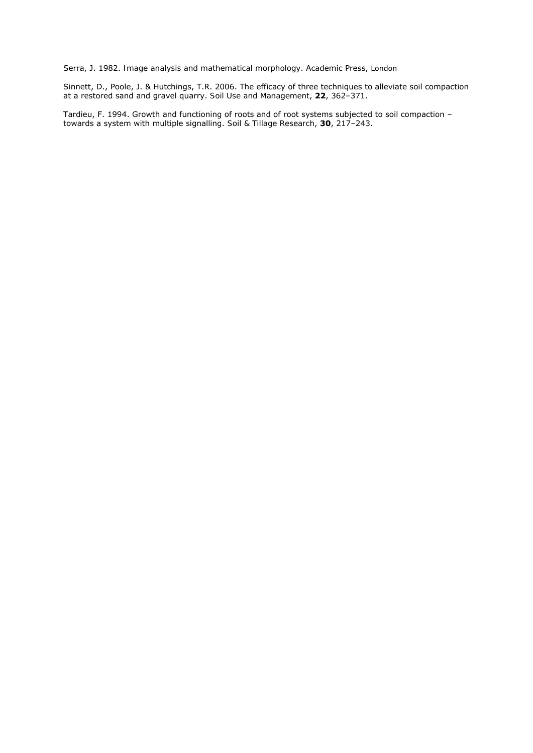Serra, J. 1982. *Image analysis and mathematical morphology*. Academic Press, London

Sinnett, D., Poole, J. & Hutchings, T.R. 2006. The efficacy of three techniques to alleviate soil compaction at a restored sand and gravel quarry. *Soil Use and Management*, **22**, 362–371.

Tardieu, F. 1994. Growth and functioning of roots and of root systems subjected to soil compaction – towards a system with multiple signalling. *Soil & Tillage Research*, **30**, 217–243.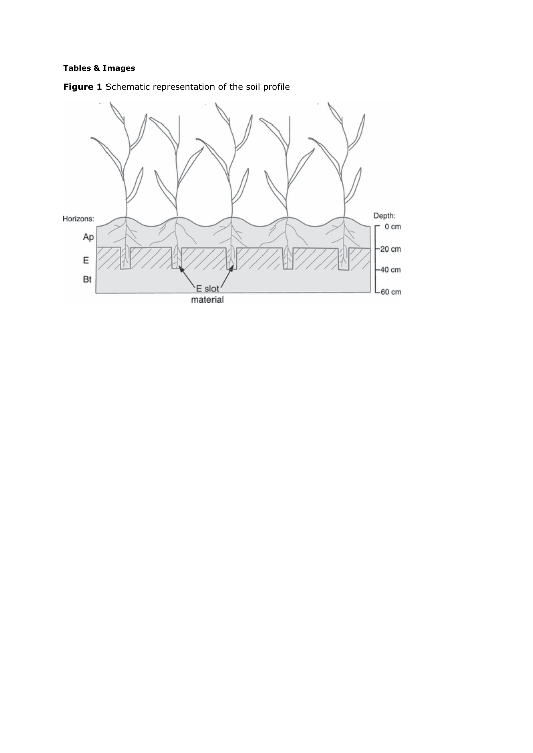# **Tables & Images**



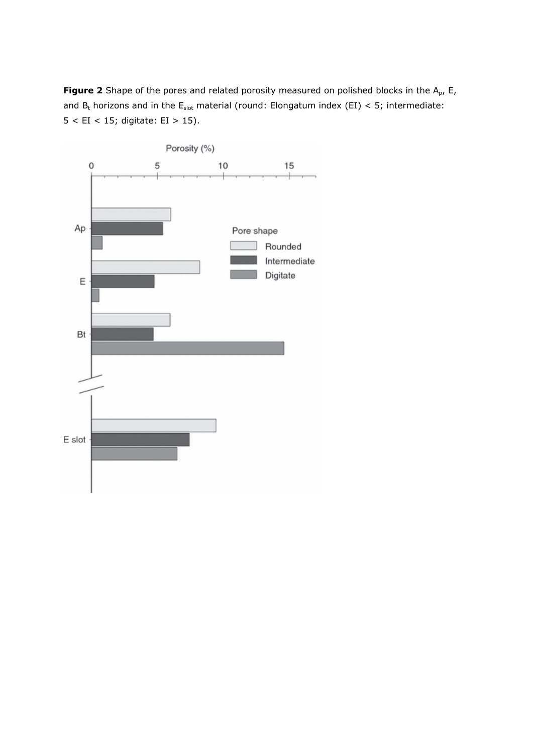Figure 2 Shape of the pores and related porosity measured on polished blocks in the A<sub>p</sub>, E, and  $B_t$  horizons and in the  $E_{slot}$  material (round: Elongatum index (EI) < 5; intermediate: 5 < EI < 15; digitate: EI > 15).

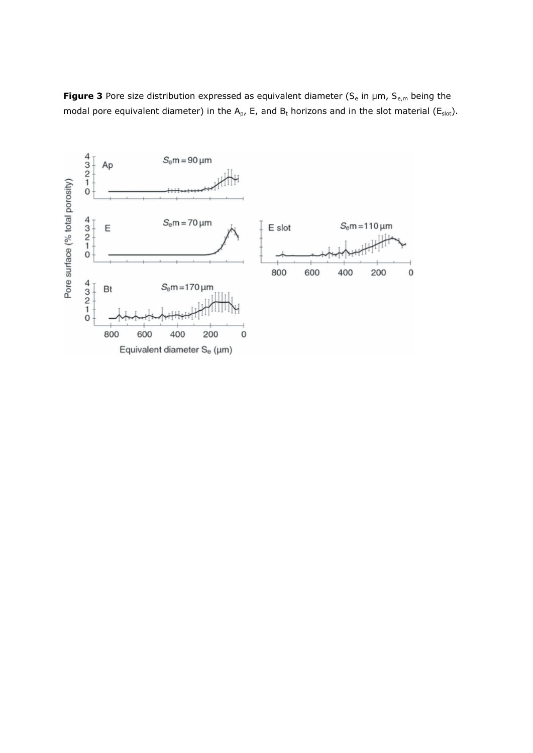

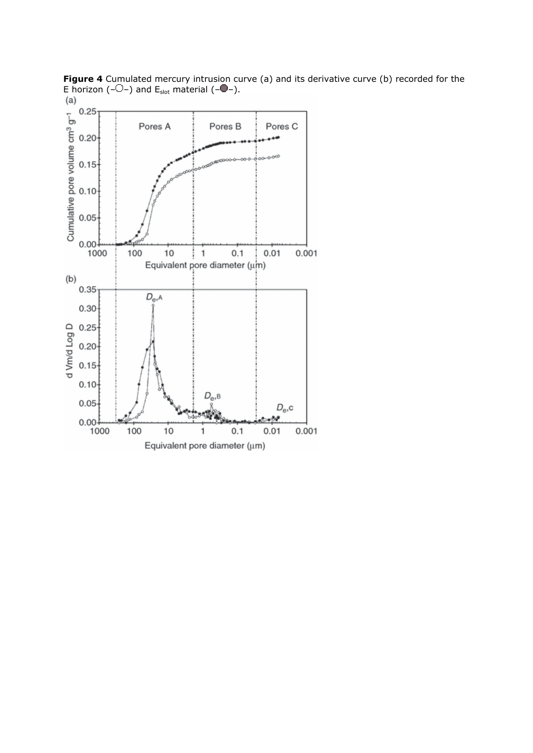

**Figure 4** Cumulated mercury intrusion curve (a) and its derivative curve (b) recorded for the E horizon (– $\bigcup$ –) and  $E_{slot}$  material (– $\bigcup$ –).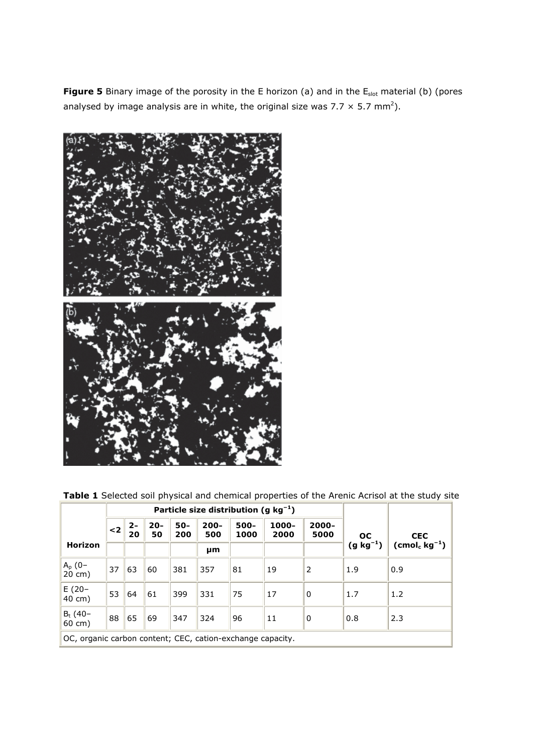Figure 5 Binary image of the porosity in the E horizon (a) and in the E<sub>slot</sub> material (b) (pores analysed by image analysis are in white, the original size was 7.7  $\times$  5.7 mm<sup>2</sup>).



**Table 1** Selected soil physical and chemical properties of the Arenic Acrisol at the study site

|                                                            |          | Particle size distribution (g $kg^{-1}$ ) |              |            |                |              |               |               |               |                                   |
|------------------------------------------------------------|----------|-------------------------------------------|--------------|------------|----------------|--------------|---------------|---------------|---------------|-----------------------------------|
|                                                            | $\leq$ 2 | $2 -$<br>20                               | $20 -$<br>50 | 50-<br>200 | $200 -$<br>500 | 500-<br>1000 | 1000-<br>2000 | 2000-<br>5000 | <b>OC</b>     | <b>CEC</b>                        |
| Horizon                                                    |          |                                           |              |            | μm             |              |               |               | $(g kg^{-1})$ | $(\text{cmol}_c \text{ kg}^{-1})$ |
| $A_p (0-20 cm)$                                            | 37       | 63                                        | 60           | 381        | 357            | 81           | 19            | 2             | 1.9           | 0.9                               |
| $E(20 -$<br>40 cm)                                         | 53       | 64                                        | 61           | 399        | 331            | 75           | 17            | $\Omega$      | 1.7           | 1.2                               |
| $Bt$ (40-<br>$60 \text{ cm}$ )                             | 88       | 65                                        | 69           | 347        | 324            | 96           | 11            | 0             | 0.8           | 2.3                               |
| OC, organic carbon content; CEC, cation-exchange capacity. |          |                                           |              |            |                |              |               |               |               |                                   |